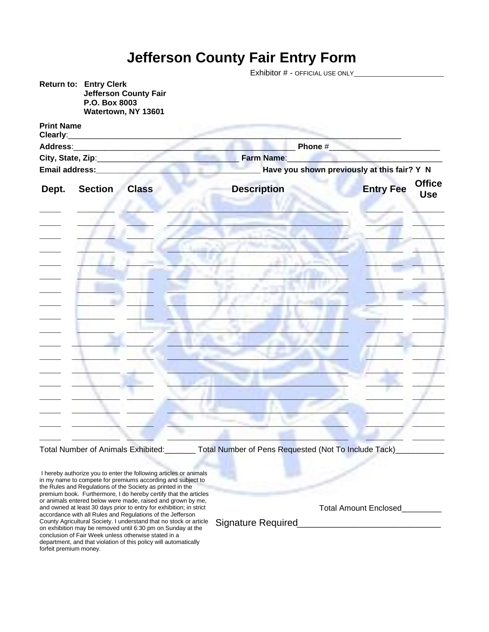## **Jefferson County Fair Entry Form**

|                                                                                                                                                                                                                                     |                                                                                                       | Exhibitor # - OFFICIAL USE ONLY_____________ |                                                 |  |  |  |
|-------------------------------------------------------------------------------------------------------------------------------------------------------------------------------------------------------------------------------------|-------------------------------------------------------------------------------------------------------|----------------------------------------------|-------------------------------------------------|--|--|--|
|                                                                                                                                                                                                                                     | <b>Return to: Entry Clerk</b><br><b>Jefferson County Fair</b><br>P.O. Box 8003<br>Watertown, NY 13601 |                                              |                                                 |  |  |  |
| <b>Print Name</b><br>Clearly:                                                                                                                                                                                                       |                                                                                                       |                                              |                                                 |  |  |  |
| Address: Andreas Address Address Address Address Address Address Address Address Address Address Address Address A                                                                                                                  |                                                                                                       | Phone # 2009 Phone #                         |                                                 |  |  |  |
| City, State, Zip: 2008                                                                                                                                                                                                              |                                                                                                       | Farm Name:                                   |                                                 |  |  |  |
| Email address: <b>Email and Service Address</b> and Service Address and Service Address and Service Address and Service Address and Service Address and Service Address and Service Address and Service Address and Service Address |                                                                                                       | Have you shown previously at this fair? Y N  |                                                 |  |  |  |
| Dept.                                                                                                                                                                                                                               | <b>Section</b><br><b>Class</b>                                                                        | <b>Description</b>                           | <b>Office</b><br><b>Entry Fee</b><br><b>Use</b> |  |  |  |
|                                                                                                                                                                                                                                     |                                                                                                       |                                              |                                                 |  |  |  |
|                                                                                                                                                                                                                                     |                                                                                                       |                                              |                                                 |  |  |  |
|                                                                                                                                                                                                                                     |                                                                                                       |                                              |                                                 |  |  |  |
|                                                                                                                                                                                                                                     |                                                                                                       |                                              |                                                 |  |  |  |
|                                                                                                                                                                                                                                     |                                                                                                       |                                              |                                                 |  |  |  |
|                                                                                                                                                                                                                                     |                                                                                                       |                                              |                                                 |  |  |  |
|                                                                                                                                                                                                                                     |                                                                                                       |                                              |                                                 |  |  |  |
|                                                                                                                                                                                                                                     |                                                                                                       |                                              |                                                 |  |  |  |
|                                                                                                                                                                                                                                     |                                                                                                       |                                              |                                                 |  |  |  |
|                                                                                                                                                                                                                                     |                                                                                                       |                                              |                                                 |  |  |  |
|                                                                                                                                                                                                                                     |                                                                                                       |                                              |                                                 |  |  |  |
|                                                                                                                                                                                                                                     |                                                                                                       |                                              |                                                 |  |  |  |
|                                                                                                                                                                                                                                     |                                                                                                       |                                              |                                                 |  |  |  |
|                                                                                                                                                                                                                                     |                                                                                                       |                                              |                                                 |  |  |  |

Total Number of Animals Exhibited: \_\_\_\_\_\_\_ Total Number of Pens Requested (Not To Include Tack)\_\_\_\_\_\_\_\_\_\_\_

I hereby authorize you to enter the following articles or animals in my name to compete for premiums according and subject to the Rules and Regulations of the Society as printed in the premium book. Furthermore, I do hereby certify that the articles or animals entered below were made, raised and grown by me, and owned at least 30 days prior to entry for exhibition; in strict accordance with all Rules and Regulations of the Jefferson County Agricultural Society. I understand that no stock or article on exhibition may be removed until 6:30 pm on Sunday at the conclusion of Fair Week unless otherwise stated in a department, and that violation of this policy will automatically forfeit premium money.

Total Amount Enclosed\_\_\_\_\_\_\_\_\_

Signature Required*\_\_\_\_\_\_\_\_\_\_\_\_\_\_\_\_\_\_*